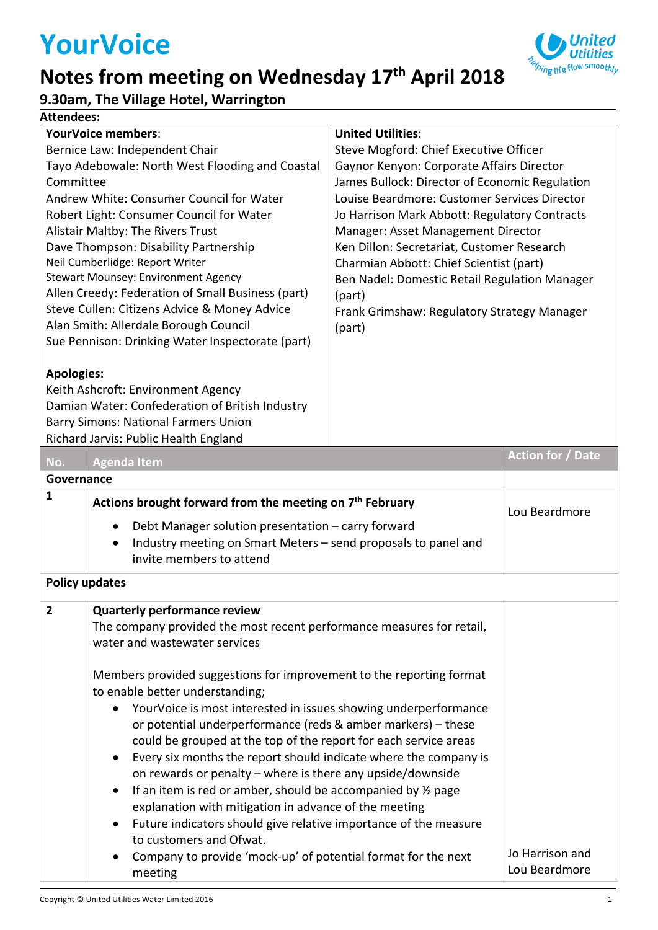# **YourVoice**

# **Notes from meeting on Wednesday 17th April 2018**



**9.30am, The Village Hotel, Warrington**

#### **Attendees:**

| <b>YourVoice members:</b>                       |                                                                                                                                                                                                   | <b>United Utilities:</b>                       |                                  |  |  |
|-------------------------------------------------|---------------------------------------------------------------------------------------------------------------------------------------------------------------------------------------------------|------------------------------------------------|----------------------------------|--|--|
| Bernice Law: Independent Chair                  |                                                                                                                                                                                                   | Steve Mogford: Chief Executive Officer         |                                  |  |  |
| Tayo Adebowale: North West Flooding and Coastal |                                                                                                                                                                                                   | Gaynor Kenyon: Corporate Affairs Director      |                                  |  |  |
| Committee                                       |                                                                                                                                                                                                   | James Bullock: Director of Economic Regulation |                                  |  |  |
|                                                 | Andrew White: Consumer Council for Water                                                                                                                                                          | Louise Beardmore: Customer Services Director   |                                  |  |  |
|                                                 | Robert Light: Consumer Council for Water                                                                                                                                                          | Jo Harrison Mark Abbott: Regulatory Contracts  |                                  |  |  |
|                                                 | Alistair Maltby: The Rivers Trust                                                                                                                                                                 | Manager: Asset Management Director             |                                  |  |  |
|                                                 | Dave Thompson: Disability Partnership                                                                                                                                                             | Ken Dillon: Secretariat, Customer Research     |                                  |  |  |
|                                                 | Neil Cumberlidge: Report Writer                                                                                                                                                                   | Charmian Abbott: Chief Scientist (part)        |                                  |  |  |
|                                                 | <b>Stewart Mounsey: Environment Agency</b>                                                                                                                                                        | Ben Nadel: Domestic Retail Regulation Manager  |                                  |  |  |
|                                                 | Allen Creedy: Federation of Small Business (part)                                                                                                                                                 | (part)                                         |                                  |  |  |
|                                                 | Steve Cullen: Citizens Advice & Money Advice                                                                                                                                                      | Frank Grimshaw: Regulatory Strategy Manager    |                                  |  |  |
|                                                 | Alan Smith: Allerdale Borough Council                                                                                                                                                             | (part)                                         |                                  |  |  |
|                                                 | Sue Pennison: Drinking Water Inspectorate (part)                                                                                                                                                  |                                                |                                  |  |  |
|                                                 |                                                                                                                                                                                                   |                                                |                                  |  |  |
| <b>Apologies:</b>                               |                                                                                                                                                                                                   |                                                |                                  |  |  |
|                                                 | Keith Ashcroft: Environment Agency                                                                                                                                                                |                                                |                                  |  |  |
|                                                 | Damian Water: Confederation of British Industry                                                                                                                                                   |                                                |                                  |  |  |
|                                                 | <b>Barry Simons: National Farmers Union</b>                                                                                                                                                       |                                                |                                  |  |  |
|                                                 | Richard Jarvis: Public Health England                                                                                                                                                             |                                                |                                  |  |  |
| No.                                             | <b>Agenda Item</b>                                                                                                                                                                                |                                                | <b>Action for / Date</b>         |  |  |
| Governance                                      |                                                                                                                                                                                                   |                                                |                                  |  |  |
| 1                                               | Actions brought forward from the meeting on 7 <sup>th</sup> February                                                                                                                              |                                                |                                  |  |  |
|                                                 |                                                                                                                                                                                                   | Lou Beardmore                                  |                                  |  |  |
|                                                 | Debt Manager solution presentation - carry forward<br>٠                                                                                                                                           |                                                |                                  |  |  |
|                                                 | Industry meeting on Smart Meters - send proposals to panel and<br>$\bullet$                                                                                                                       |                                                |                                  |  |  |
|                                                 | invite members to attend                                                                                                                                                                          |                                                |                                  |  |  |
| <b>Policy updates</b>                           |                                                                                                                                                                                                   |                                                |                                  |  |  |
| $\overline{2}$                                  | <b>Quarterly performance review</b>                                                                                                                                                               |                                                |                                  |  |  |
|                                                 | The company provided the most recent performance measures for retail,                                                                                                                             |                                                |                                  |  |  |
|                                                 | water and wastewater services                                                                                                                                                                     |                                                |                                  |  |  |
|                                                 |                                                                                                                                                                                                   |                                                |                                  |  |  |
|                                                 | Members provided suggestions for improvement to the reporting format                                                                                                                              |                                                |                                  |  |  |
|                                                 | to enable better understanding;                                                                                                                                                                   |                                                |                                  |  |  |
|                                                 | YourVoice is most interested in issues showing underperformance<br>or potential underperformance (reds & amber markers) - these                                                                   |                                                |                                  |  |  |
|                                                 |                                                                                                                                                                                                   |                                                |                                  |  |  |
|                                                 |                                                                                                                                                                                                   |                                                |                                  |  |  |
|                                                 | could be grouped at the top of the report for each service areas<br>Every six months the report should indicate where the company is                                                              |                                                |                                  |  |  |
|                                                 | $\bullet$                                                                                                                                                                                         |                                                |                                  |  |  |
|                                                 | on rewards or penalty - where is there any upside/downside<br>If an item is red or amber, should be accompanied by 1/2 page<br>$\bullet$<br>explanation with mitigation in advance of the meeting |                                                |                                  |  |  |
|                                                 |                                                                                                                                                                                                   |                                                |                                  |  |  |
|                                                 |                                                                                                                                                                                                   |                                                |                                  |  |  |
|                                                 | Future indicators should give relative importance of the measure<br>$\bullet$                                                                                                                     |                                                |                                  |  |  |
|                                                 | to customers and Ofwat.                                                                                                                                                                           |                                                |                                  |  |  |
|                                                 |                                                                                                                                                                                                   |                                                |                                  |  |  |
|                                                 | Company to provide 'mock-up' of potential format for the next<br>$\bullet$<br>meeting                                                                                                             |                                                | Jo Harrison and<br>Lou Beardmore |  |  |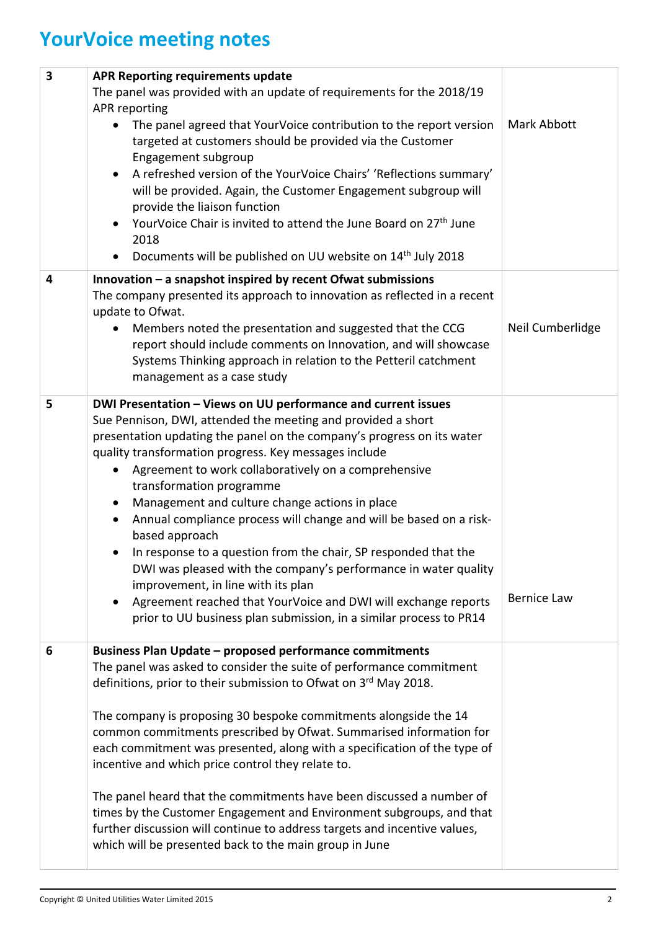# **YourVoice meeting notes**

| 3 | <b>APR Reporting requirements update</b>                                                                                                                                                                                      |                    |  |
|---|-------------------------------------------------------------------------------------------------------------------------------------------------------------------------------------------------------------------------------|--------------------|--|
|   | The panel was provided with an update of requirements for the 2018/19                                                                                                                                                         |                    |  |
|   | APR reporting                                                                                                                                                                                                                 |                    |  |
|   | The panel agreed that YourVoice contribution to the report version<br>targeted at customers should be provided via the Customer<br>Engagement subgroup                                                                        | Mark Abbott        |  |
|   | A refreshed version of the YourVoice Chairs' 'Reflections summary'<br>$\bullet$<br>will be provided. Again, the Customer Engagement subgroup will<br>provide the liaison function                                             |                    |  |
|   | YourVoice Chair is invited to attend the June Board on 27 <sup>th</sup> June<br>2018                                                                                                                                          |                    |  |
|   | Documents will be published on UU website on 14 <sup>th</sup> July 2018                                                                                                                                                       |                    |  |
| 4 | Innovation $-$ a snapshot inspired by recent Of wat submissions<br>The company presented its approach to innovation as reflected in a recent<br>update to Ofwat.                                                              |                    |  |
|   | Members noted the presentation and suggested that the CCG<br>report should include comments on Innovation, and will showcase<br>Systems Thinking approach in relation to the Petteril catchment<br>management as a case study | Neil Cumberlidge   |  |
| 5 | DWI Presentation - Views on UU performance and current issues                                                                                                                                                                 |                    |  |
|   | Sue Pennison, DWI, attended the meeting and provided a short                                                                                                                                                                  |                    |  |
|   | presentation updating the panel on the company's progress on its water                                                                                                                                                        |                    |  |
|   | quality transformation progress. Key messages include                                                                                                                                                                         |                    |  |
|   | Agreement to work collaboratively on a comprehensive                                                                                                                                                                          |                    |  |
|   | transformation programme                                                                                                                                                                                                      |                    |  |
|   | Management and culture change actions in place<br>$\bullet$                                                                                                                                                                   |                    |  |
|   | Annual compliance process will change and will be based on a risk-<br>$\bullet$<br>based approach                                                                                                                             |                    |  |
|   | In response to a question from the chair, SP responded that the<br>$\bullet$                                                                                                                                                  |                    |  |
|   | DWI was pleased with the company's performance in water quality                                                                                                                                                               |                    |  |
|   | improvement, in line with its plan<br>Agreement reached that YourVoice and DWI will exchange reports                                                                                                                          | <b>Bernice Law</b> |  |
|   | prior to UU business plan submission, in a similar process to PR14                                                                                                                                                            |                    |  |
| 6 | <b>Business Plan Update - proposed performance commitments</b>                                                                                                                                                                |                    |  |
|   | The panel was asked to consider the suite of performance commitment                                                                                                                                                           |                    |  |
|   | definitions, prior to their submission to Ofwat on 3rd May 2018.                                                                                                                                                              |                    |  |
|   | The company is proposing 30 bespoke commitments alongside the 14                                                                                                                                                              |                    |  |
|   | common commitments prescribed by Ofwat. Summarised information for                                                                                                                                                            |                    |  |
|   | each commitment was presented, along with a specification of the type of<br>incentive and which price control they relate to.                                                                                                 |                    |  |
|   | The panel heard that the commitments have been discussed a number of                                                                                                                                                          |                    |  |
|   | times by the Customer Engagement and Environment subgroups, and that                                                                                                                                                          |                    |  |
|   | further discussion will continue to address targets and incentive values,                                                                                                                                                     |                    |  |
|   | which will be presented back to the main group in June                                                                                                                                                                        |                    |  |